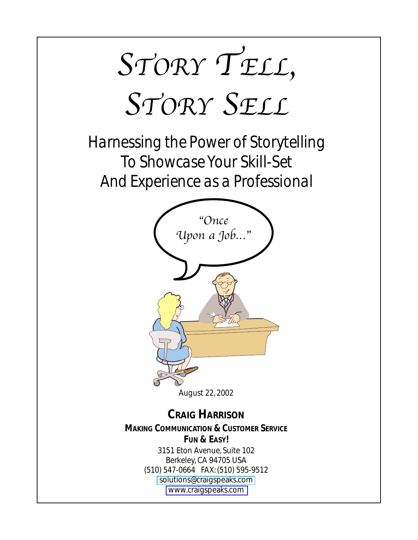

*Harnessing the Power of Storytelling To Showcase Your Skill-Set And Experience as a Professional*



August 22, 2002

### **CRAIG HARRISON**

*MAKING COMMUNICATION & CUSTOMER SERVICE FUN & EASY!* 3151 Eton Avenue, Suite 102 Berkeley, CA 94705 USA (510) 547-0664 FAX: (510) 595-9512 [solutions@craigspeaks.com]( mailto:solutions@craigspeaks.com) [www.craigspeaks.com](http://www.craigspeaks.com)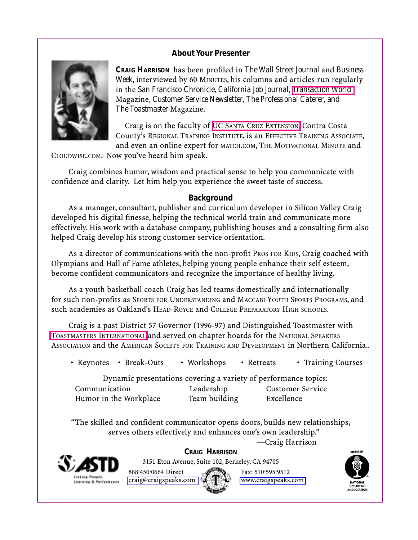#### **About Your Presenter**



**CRAIG HARRISON** has been profiled in *The Wall Street Journal* and *Business Week*, interviewed by 60 MINUTES, his columns and articles run regularly in the *San Francisco Chronicle, California Job Journal, [Transaction World](http://www.transactionworld.net)* Magazine*, Customer Service Newsletter, The Professional Caterer,* and *The Toastmaster* Magazine.

Craig is on the faculty of UC SANTA CRUZ [EXTENSION,](http://www.ucsc-extension.edu) Contra Costa County's REGIONAL TRAINING INSTITUTE, is an EFFECTIVE TRAINING ASSOCIATE, and even an online expert for MATCH.COM, THE MOTIVATIONAL MINUTE and

CLOUDWISE.COM. Now you've heard him speak.

Craig combines humor, wisdom and practical sense to help you communicate with confidence and clarity. Let him help you experience the sweet taste of success.

#### **Background**

As a manager, consultant, publisher and curriculum developer in Silicon Valley Craig developed his digital finesse, helping the technical world train and communicate more effectively. His work with a database company, publishing houses and a consulting firm also helped Craig develop his strong customer service orientation.

As a director of communications with the non-profit PROS FOR KIDS, Craig coached with Olympians and Hall of Fame athletes, helping young people enhance their self esteem, become confident communicators and recognize the importance of healthy living.

As a youth basketball coach Craig has led teams domestically and internationally for such non-profits as SPORTS FOR UNDERSTANDING and MACCABI YOUTH SPORTS PROGRAMS, and such academies as Oakland's HEAD-ROYCE and COLLEGE PREPARATORY HIGH SCHOOLS.

Craig is a past District 57 Governor (1996-97) and Distinguished Toastmaster with TOASTMASTERS [INTERNATIONAL](http://www.toastmasters.org) and served on chapter boards for the NATIONAL SPEAKERS ASSOCIATION and the AMERICAN SOCIETY FOR TRAINING AND DEVELOPMENT in Northern California..

• Keynotes • Break-Outs • Workshops • Retreats • Training Courses

Dynamic presentations covering a variety of performance topics: Communication Leadership Customer Service Humor in the Workplace Team building Excellence

"The skilled and confident communicator opens doors, builds new relationships, serves others effectively and enhances one's own leadership."

—Craig Harrison



**CRAIG HARRISON**

3151 Eton Avenue, Suite 102, Berkeley, CA 94705



595. 9512 [craig@craigspeaks.com](mailto:craig@craigspeaks.com) Will [www.craigspeaks.com](http://www.craigspeaks.com)

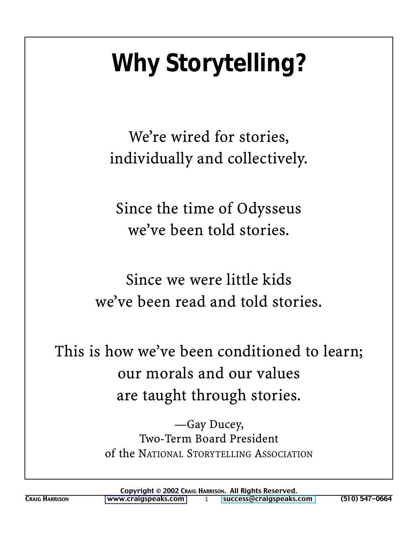# **Why Storytelling?**

We're wired for stories, individually and collectively.

Since the time of Odysseus we've been told stories.

Since we were little kids we've been read and told stories.

This is how we've been conditioned to learn; our morals and our values are taught through stories.

> —Gay Ducey, Two-Term Board President of the NATIONAL STORYTELLING ASSOCIATION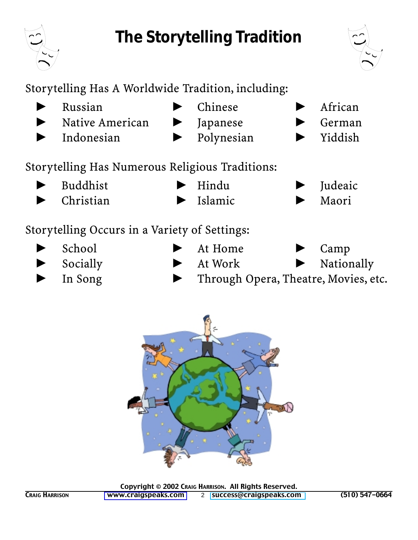# **The Storytelling Tradition**



African

German

Storytelling Has A Worldwide Tradition, including:  $\blacktriangleright$ Russian Chinese  $\blacktriangleright$ Native American Japanese

 $\blacktriangleright$ Indonesian Polynesian Yiddish

Storytelling Has Numerous Religious Traditions:

 $\blacktriangleright$ **Buddhist** Hindu Judeaic  $\blacktriangleright$ Christian Islamic -Maori

### Storytelling Occurs in a Variety of Settings:

- $\blacktriangleright$ School At Home Camp  $\blacktriangleright$ Socially  $\blacktriangleright$  At Work Nationally
	- In Song Through Opera, Theatre, Movies, etc.



Copyright © 2002 CRAIG HARRISON. All Rights Reserved. CRAIG HARRISON WWW.Craigspeaks.com 2 [success@craigspeaks.com](mailto:success@craigspeaks.com) (510) 547-0664

 $\blacktriangleright$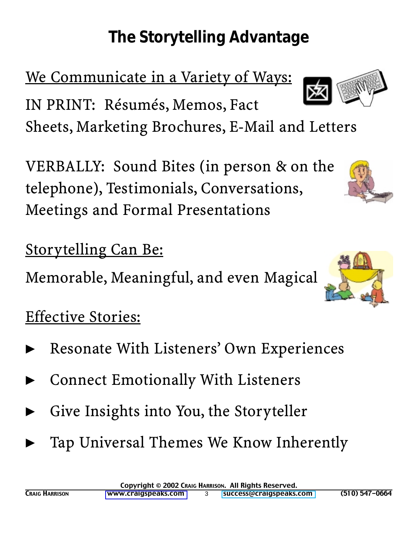# **The Storytelling Advantage**

We Communicate in a Variety of Ways:

IN PRINT: Résumés, Memos, Fact Sheets, Marketing Brochures, E-Mail and Letters

VERBALLY: Sound Bites (in person & on the telephone), Testimonials, Conversations, Meetings and Formal Presentations

Storytelling Can Be:

Memorable, Meaningful, and even Magical

# Effective Stories:

- $\blacktriangleright$ Resonate With Listeners' Own Experiences
- $\blacktriangleright$ Connect Emotionally With Listeners
- $\blacktriangleright$ Give Insights into You, the Storyteller
- $\blacktriangleright$ Tap Universal Themes We Know Inherently

Copyright © 2002 CRAIG HARRISON. All Rights Reserved.



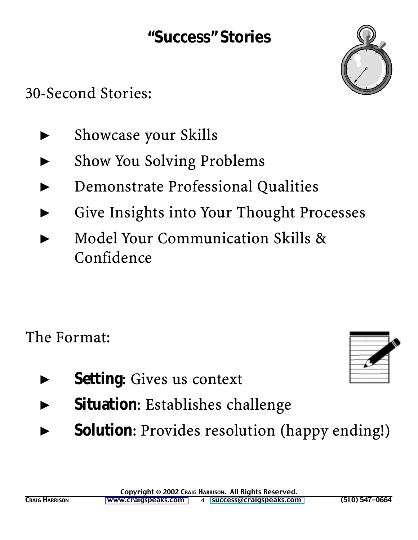### **"Success" Stories**



30-Second Stories:

- $\blacktriangleright$ Showcase your Skills
- $\blacktriangleright$ Show You Solving Problems
- $\blacktriangleright$ Demonstrate Professional Qualities
- $\blacktriangleright$ Give Insights into Your Thought Processes
- $\blacktriangleright$  Model Your Communication Skills & Confidence

The Format:

- $\blacktriangleright$ **Setting**: Gives us context
- $\blacktriangleright$ **Situation**: Establishes challenge
- $\blacktriangleright$ **Solution**: Provides resolution (happy ending!)

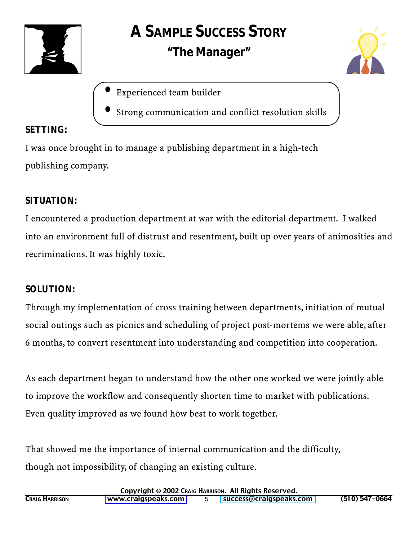



- Experienced team builder
- Strong communication and conflict resolution skills

### **SETTING:**

I was once brought in to manage a publishing department in a high-tech publishing company.

### **SITUATION:**

I encountered a production department at war with the editorial department. I walked into an environment full of distrust and resentment, built up over years of animosities and recriminations. It was highly toxic.

### **SOLUTION:**

Through my implementation of cross training between departments, initiation of mutual social outings such as picnics and scheduling of project post-mortems we were able, after 6 months, to convert resentment into understanding and competition into cooperation.

As each department began to understand how the other one worked we were jointly able to improve the workflow and consequently shorten time to market with publications. Even quality improved as we found how best to work together.

That showed me the importance of internal communication and the difficulty, though not impossibility, of changing an existing culture.

| Copyright © 2002 CRAIG HARRISON. All Rights Reserved. |                     |  |                         |                    |
|-------------------------------------------------------|---------------------|--|-------------------------|--------------------|
| <b>CRAIG HARRISON</b>                                 | www.craigspeaks.com |  | success@craigspeaks.com | $(510) 547 - 0664$ |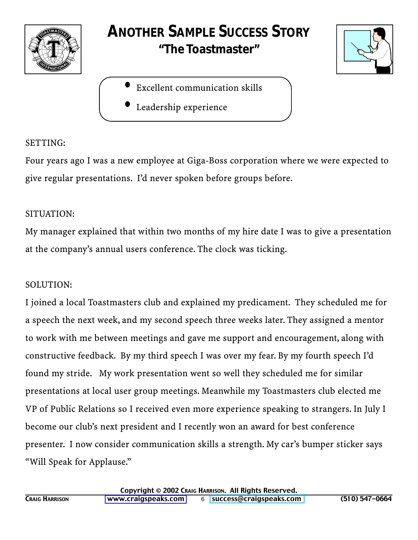

### **ANOTHER SAMPLE** *SUCCESS* **STORY "The Toastmaster"**

- Excellent communication skills
- Leadership experience

#### SETTING:

Four years ago I was a new employee at Giga-Boss corporation where we were expected to give regular presentations. I'd never spoken before groups before.

#### SITUATION:

My manager explained that within two months of my hire date I was to give a presentation at the company's annual users conference. The clock was ticking.

#### SOLUTION:

I joined a local Toastmasters club and explained my predicament. They scheduled me for a speech the next week, and my second speech three weeks later. They assigned a mentor to work with me between meetings and gave me support and encouragement, along with constructive feedback. By my third speech I was over my fear. By my fourth speech I'd found my stride. My work presentation went so well they scheduled me for similar presentations at local user group meetings. Meanwhile my Toastmasters club elected me VP of Public Relations so I received even more experience speaking to strangers. In July I become our club's next president and I recently won an award for best conference presenter. I now consider communication skills a strength. My car's bumper sticker says "Will Speak for Applause."

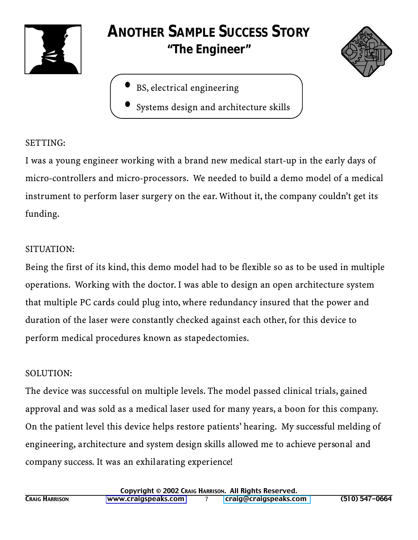

### **ANOTHER SAMPLE** *SUCCESS* **STORY "The Engineer"**



**•** Systems design and architecture skills

#### SETTING:

I was a young engineer working with a brand new medical start-up in the early days of micro-controllers and micro-processors. We needed to build a demo model of a medical instrument to perform laser surgery on the ear. Without it, the company couldn't get its funding.

#### SITUATION:

Being the first of its kind, this demo model had to be flexible so as to be used in multiple operations. Working with the doctor. I was able to design an open architecture system that multiple PC cards could plug into, where redundancy insured that the power and duration of the laser were constantly checked against each other, for this device to perform medical procedures known as stapedectomies.

#### SOLUTION:

The device was successful on multiple levels. The model passed clinical trials, gained approval and was sold as a medical laser used for many years, a boon for this company. On the patient level this device helps restore patients' hearing. My successful melding of engineering, architecture and system design skills allowed me to achieve personal and company success. It was an exhilarating experience!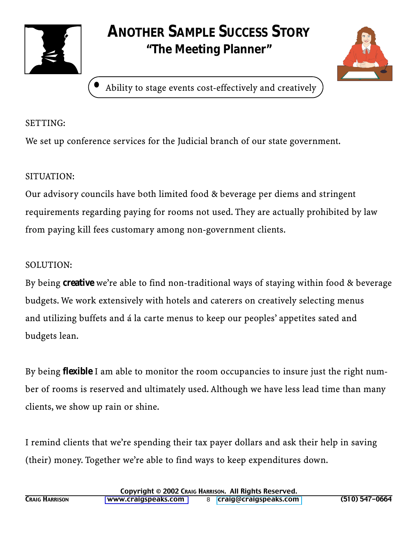

### **ANOTHER SAMPLE** *SUCCESS* **STORY "The Meeting Planner"**



**•** Ability to stage events cost-effectively and creatively

#### SETTING:

We set up conference services for the Judicial branch of our state government.

#### SITUATION:

Our advisory councils have both limited food & beverage per diems and stringent requirements regarding paying for rooms not used. They are actually prohibited by law from paying kill fees customary among non-government clients.

#### SOLUTION:

By being **creative** we're able to find non-traditional ways of staying within food & beverage budgets. We work extensively with hotels and caterers on creatively selecting menus and utilizing buffets and á la carte menus to keep our peoples' appetites sated and budgets lean.

By being **flexible** I am able to monitor the room occupancies to insure just the right number of rooms is reserved and ultimately used. Although we have less lead time than many clients, we show up rain or shine.

I remind clients that we're spending their tax payer dollars and ask their help in saving (their) money. Together we're able to find ways to keep expenditures down.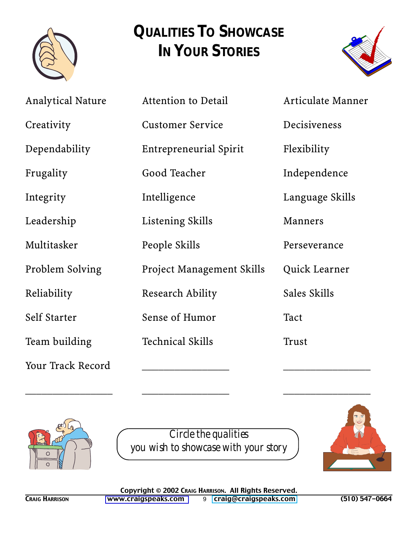

## **QUALITIES TO SHOWCASE IN YOUR STORIES**



| <b>Analytical Nature</b> | Attention to Detail              | Articulate Manner |
|--------------------------|----------------------------------|-------------------|
| Creativity               | <b>Customer Service</b>          | Decisiveness      |
| Dependability            | Entrepreneurial Spirit           | Flexibility       |
| Frugality                | Good Teacher                     | Independence      |
| Integrity                | Intelligence                     | Language Skills   |
| Leadership               | Listening Skills                 | <b>Manners</b>    |
| Multitasker              | People Skills                    | Perseverance      |
| Problem Solving          | <b>Project Management Skills</b> | Quick Learner     |
| Reliability              | Research Ability                 | Sales Skills      |
| Self Starter             | Sense of Humor                   | Tact              |
| Team building            | <b>Technical Skills</b>          | Trust             |
| Your Track Record        |                                  |                   |



*Circle the qualities you wish to showcase with your story*

\_\_\_\_\_\_\_\_\_\_\_\_\_\_\_\_ \_\_\_\_\_\_\_\_\_\_\_\_\_\_\_\_ \_\_\_\_\_\_\_\_\_\_\_\_\_\_\_\_

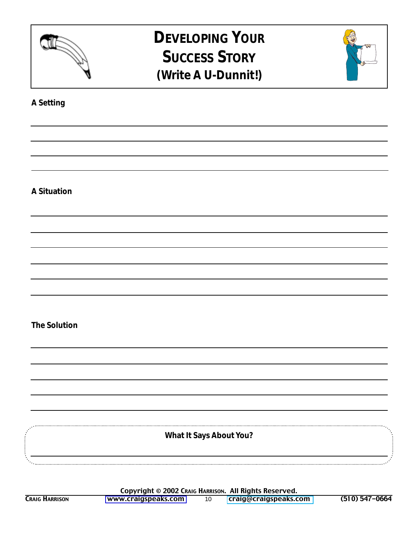

### **DEVELOPING** *YOUR* **SUCCESS STORY (Write A U-Dunnit!)**



#### **A Setting**

#### **A Situation**

#### **The Solution**

**What It Says About You?**

Copyright © 2002 CRAIG HARRISON. All Rights Reserved.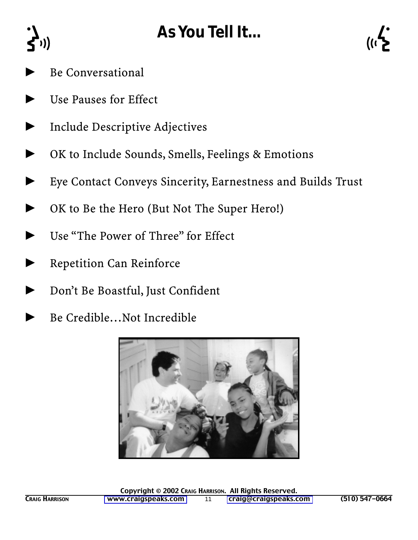# **As You Tell It...**



 $\blacktriangleright$ Be Conversational

 $\sum_{i=1}^{n}$ 

- $\blacktriangleright$ Use Pauses for Effect
- $\blacktriangleright$ Include Descriptive Adjectives
- $\blacktriangleright$ OK to Include Sounds, Smells, Feelings & Emotions
- $\blacktriangleright$ Eye Contact Conveys Sincerity, Earnestness and Builds Trust
- $\blacktriangleright$ OK to Be the Hero (But Not The Super Hero!)
- $\blacktriangleright$ Use "The Power of Three" for Effect
- $\blacktriangleright$ Repetition Can Reinforce
- $\blacktriangleright$ Don't Be Boastful, Just Confident
- $\blacktriangleright$ Be Credible…Not Incredible